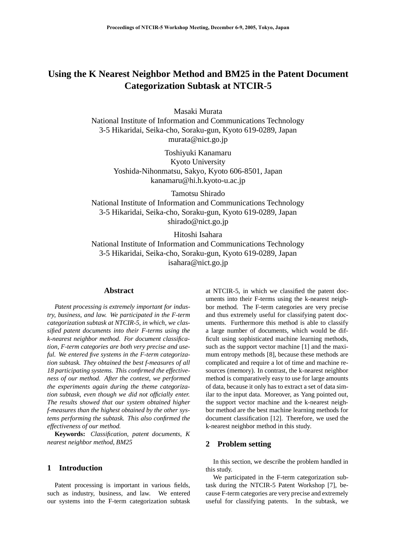# **Using the K Nearest Neighbor Method and BM25 in the Patent Document Categorization Subtask at NTCIR-5**

Masaki Murata

National Institute of Information and Communications Technology 3-5 Hikaridai, Seika-cho, Soraku-gun, Kyoto 619-0289, Japan murata@nict.go.jp

> Toshiyuki Kanamaru Kyoto University Yoshida-Nihonmatsu, Sakyo, Kyoto 606-8501, Japan kanamaru@hi.h.kyoto-u.ac.jp

Tamotsu Shirado National Institute of Information and Communications Technology 3-5 Hikaridai, Seika-cho, Soraku-gun, Kyoto 619-0289, Japan shirado@nict.go.jp

Hitoshi Isahara

National Institute of Information and Communications Technology 3-5 Hikaridai, Seika-cho, Soraku-gun, Kyoto 619-0289, Japan isahara@nict.go.jp

#### **Abstract**

*Patent processing is extremely important for industry, business, and law. We participated in the F-term categorization subtask at NTCIR-5, in which, we classified patent documents into their F-terms using the k-nearest neighbor method. For document classification, F-term categories are both very precise and useful. We entered five systems in the F-term categorization subtask. They obtained the best f-measures of all 18 participating systems. This confirmed the effectiveness of our method. After the contest, we performed the experiments again during the theme categorization subtask, even though we did not officially enter. The results showed that our system obtained higher f-measures than the highest obtained by the other systems performing the subtask. This also confirmed the effectiveness of our method.*

**Keywords:** *Classification, patent documents, K nearest neighbor method, BM25*

#### **1 Introduction**

Patent processing is important in various fields, such as industry, business, and law. We entered our systems into the F-term categorization subtask

at NTCIR-5, in which we classified the patent documents into their F-terms using the k-nearest neighbor method. The F-term categories are very precise and thus extremely useful for classifying patent documents. Furthermore this method is able to classify a large number of documents, which would be difficult using sophisticated machine learning methods, such as the support vector machine [1] and the maximum entropy methods [8], because these methods are complicated and require a lot of time and machine resources (memory). In contrast, the k-nearest neighbor method is comparatively easy to use for large amounts of data, because it only has to extract a set of data similar to the input data. Moreover, as Yang pointed out, the support vector machine and the k-nearest neighbor method are the best machine learning methods for document classification [12]. Therefore, we used the k-nearest neighbor method in this study.

## **2 Problem setting**

In this section, we describe the problem handled in this study.

We participated in the F-term categorization subtask during the NTCIR-5 Patent Workshop [7], because F-term categories are very precise and extremely useful for classifying patents. In the subtask, we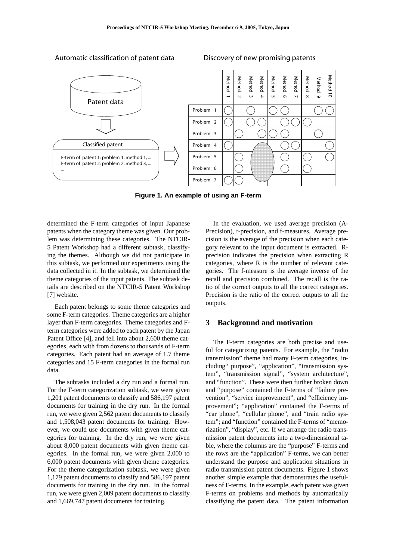

#### Automatic classification of patent data Discovery of new promising patents

**Figure 1. An example of using an F-term**

determined the F-term categories of input Japanese patents when the category theme was given. Our problem was determining these categories. The NTCIR-5 Patent Workshop had a different subtask, classifying the themes. Although we did not participate in this subtask, we performed our experiments using the data collected in it. In the subtask, we determined the theme categories of the input patents. The subtask details are described on the NTCIR-5 Patent Workshop [7] website.

Each patent belongs to some theme categories and some F-term categories. Theme categories are a higher layer than F-term categories. Theme categories and Fterm categories were added to each patent by the Japan Patent Office [4], and fell into about 2,600 theme categories, each with from dozens to thousands of F-term categories. Each patent had an average of 1.7 theme categories and 15 F-term categories in the formal run data.

The subtasks included a dry run and a formal run. For the F-term categorization subtask, we were given 1,201 patent documents to classify and 586,197 patent documents for training in the dry run. In the formal run, we were given 2,562 patent documents to classify and 1,508,043 patent documents for training. However, we could use documents with given theme categories for training. In the dry run, we were given about 8,000 patent documents with given theme categories. In the formal run, we were given 2,000 to 6,000 patent documents with given theme categories. For the theme categorization subtask, we were given 1,179 patent documents to classify and 586,197 patent documents for training in the dry run. In the formal run, we were given 2,009 patent documents to classify and 1,669,747 patent documents for training.

In the evaluation, we used average precision (A-Precision), r-precision, and f-measures. Average precision is the average of the precision when each category relevant to the input document is extracted. Rprecision indicates the precision when extracting R categories, where R is the number of relevant categories. The f-measure is the average inverse of the recall and precision combined. The recall is the ratio of the correct outputs to all the correct categories. Precision is the ratio of the correct outputs to all the outputs.

# **3 Background and motivation**

The F-term categories are both precise and useful for categorizing patents. For example, the "radio transmission" theme had many F-term categories, including" purpose", "application", "transmission system", "transmission signal", "system architecture", and "function". These were then further broken down and "purpose" contained the F-terms of "failure prevention", "service improvement", and "efficiency improvement"; "application" contained the F-terms of "car phone", "cellular phone", and "train radio system"; and "function" contained the F-terms of "memorization", "display", etc. If we arrange the radio transmission patent documents into a two-dimensional table, where the columns are the "purpose" F-terms and the rows are the "application" F-terms, we can better understand the purpose and application situations in radio transmission patent documents. Figure 1 shows another simple example that demonstrates the usefulness of F-terms. In the example, each patent was given F-terms on problems and methods by automatically classifying the patent data. The patent information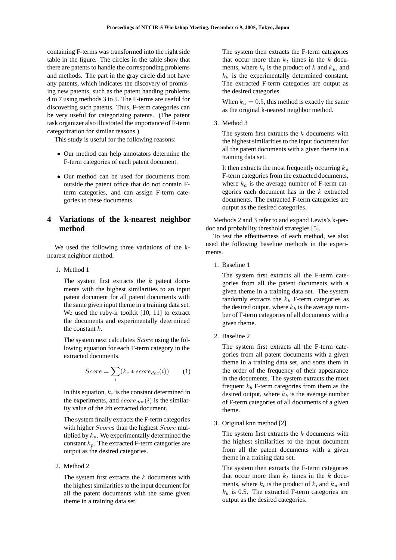containing F-terms was transformed into the right side table in the figure. The circles in the table show that there are patents to handle the corresponding problems and methods. The part in the gray circle did not have any patents, which indicates the discovery of promising new patents, such as the patent handing problems 4 to 7 using methods 3 to 5. The F-terms are useful for discovering such patents. Thus, F-term categories can be very useful for categorizing patents. (The patent task organizer also illustrated the importance of F-term categorization for similar reasons.)

This study is useful for the following reasons:

- Our method can help annotators determine the F-term categories of each patent document.
- Our method can be used for documents from outside the patent office that do not contain Fterm categories, and can assign F-term categories to these documents.

# **4 Variations of the k-nearest neighbor method**

We used the following three variations of the knearest neighbor method.

1. Method 1

The system first extracts the *k* patent documents with the highest similarities to an input patent document for all patent documents with the same given input theme in a training data set. We used the ruby-ir toolkit [10, 11] to extract the documents and experimentally determined the constant *k*.

The system next calculates *Score* using the following equation for each F-term category in the extracted documents.

$$
Score = \sum_{i} (k_r * score_{doc}(i))
$$
 (1)

In this equation, *k<sup>r</sup>* is the constant determined in the experiments, and  $score_{doc}(i)$  is the similarity value of the *i*th extracted document.

The system finally extracts the F-term categories with higher *Score*s than the highest *Score* multiplied by  $k_p$ . We experimentally determined the constant  $k_p$ . The extracted F-term categories are output as the desired categories.

2. Method 2

The system first extracts the *k* documents with the highest similarities to the input document for all the patent documents with the same given theme in a training data set.

The system then extracts the F-term categories that occur more than  $k_t$  times in the  $k$  documents, where  $k_t$  is the product of  $k$  and  $k_u$ , and  $k<sub>u</sub>$  is the experimentally determined constant. The extracted F-term categories are output as the desired categories.

When  $k_u = 0.5$ , this method is exactly the same as the original k-nearest neighbor method.

3. Method 3

The system first extracts the *k* documents with the highest similarities to the input document for all the patent documents with a given theme in a training data set.

It then extracts the most frequently occurring *k<sup>a</sup>* F-term categories from the extracted documents, where  $k_a$  is the average number of F-term categories each document has in the *k* extracted documents. The extracted F-term categories are output as the desired categories.

Methods 2 and 3 refer to and expand Lewis's k-perdoc and probability threshold strategies [5].

To test the effectiveness of each method, we also used the following baseline methods in the experiments.

1. Baseline 1

The system first extracts all the F-term categories from all the patent documents with a given theme in a training data set. The system randomly extracts the  $k_b$  F-term categories as the desired output, where  $k_b$  is the average number of F-term categories of all documents with a given theme.

2. Baseline 2

The system first extracts all the F-term categories from all patent documents with a given theme in a training data set, and sorts them in the order of the frequency of their appearance in the documents. The system extracts the most frequent  $k_b$  F-term categories from them as the desired output, where  $k_b$  is the average number of F-term categories of all documents of a given theme.

3. Original knn method [2]

The system first extracts the *k* documents with the highest similarities to the input document from all the patent documents with a given theme in a training data set.

The system then extracts the F-term categories that occur more than  $k_t$  times in the  $k$  documents, where  $k_t$  is the product of  $k$ , and  $k_u$  and  $k<sub>u</sub>$  is 0.5. The extracted F-term categories are output as the desired categories.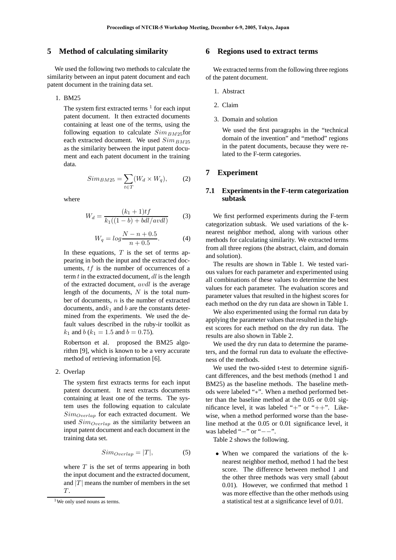#### **5 Method of calculating similarity**

We used the following two methods to calculate the similarity between an input patent document and each patent document in the training data set.

#### 1. BM25

The system first extracted terms  $<sup>1</sup>$  for each input</sup> patent document. It then extracted documents containing at least one of the terms, using the following equation to calculate  $Sim_{BM25}$  for each extracted document. We used *SimBM*<sup>25</sup> as the similarity between the input patent document and each patent document in the training data.

$$
Sim_{BM25} = \sum_{t \in T} (W_d \times W_q), \tag{2}
$$

where

$$
W_d = \frac{(k_1 + 1)tf}{k_1((1 - b) + bdl/avdl)}
$$
(3)

$$
W_q = \log \frac{N - n + 0.5}{n + 0.5}.
$$
 (4)

In these equations, *T* is the set of terms appearing in both the input and the extracted documents, *tf* is the number of occurrences of a term *t* in the extracted document, *dl* is the length of the extracted document, *avdl* is the average length of the documents, *N* is the total number of documents, *n* is the number of extracted documents, and $k_1$  and  $b$  are the constants determined from the experiments. We used the default values described in the ruby-ir toolkit as  $k_1$  and *b* ( $k_1 = 1.5$  and  $b = 0.75$ ).

Robertson et al. proposed the BM25 algorithm [9], which is known to be a very accurate method of retrieving information [6].

#### 2. Overlap

The system first extracts terms for each input patent document. It next extracts documents containing at least one of the terms. The system uses the following equation to calculate *SimOverlap* for each extracted document. We used *SimOverlap* as the similarity between an input patent document and each document in the training data set.

$$
Sim_{\text{Overall}} = |T|, \tag{5}
$$

where *T* is the set of terms appearing in both the input document and the extracted document, and  $|T|$  means the number of members in the set *T* .

### **6 Regions used to extract terms**

We extracted terms from the following three regions of the patent document.

- 1. Abstract
- 2. Claim
- 3. Domain and solution

We used the first paragraphs in the "technical domain of the invention" and "method" regions in the patent documents, because they were related to the F-term categories.

# **7 Experiment**

#### **7.1 Experiments in the F-term categorization subtask**

We first performed experiments during the F-term categorization subtask. We used variations of the knearest neighbor method, along with various other methods for calculating similarity. We extracted terms from all three regions (the abstract, claim, and domain and solution).

The results are shown in Table 1. We tested various values for each parameter and experimented using all combinations of these values to determine the best values for each parameter. The evaluation scores and parameter values that resulted in the highest scores for each method on the dry run data are shown in Table 1.

We also experimented using the formal run data by applying the parameter values that resulted in the highest scores for each method on the dry run data. The results are also shown in Table 2.

We used the dry run data to determine the parameters, and the formal run data to evaluate the effectiveness of the methods.

We used the two-sided t-test to determine significant differences, and the best methods (method 1 and BM25) as the baseline methods. The baseline methods were labeled "∗". When a method performed better than the baseline method at the 0.05 or 0.01 significance level, it was labeled "+" or "++". Likewise, when a method performed worse than the baseline method at the 0.05 or 0.01 significance level, it was labeled "−" or "−−".

Table 2 shows the following.

• When we compared the variations of the knearest neighbor method, method 1 had the best score. The difference between method 1 and the other three methods was very small (about 0.01). However, we confirmed that method 1 was more effective than the other methods using a statistical test at a significance level of 0.01.

<sup>&</sup>lt;sup>1</sup>We only used nouns as terms.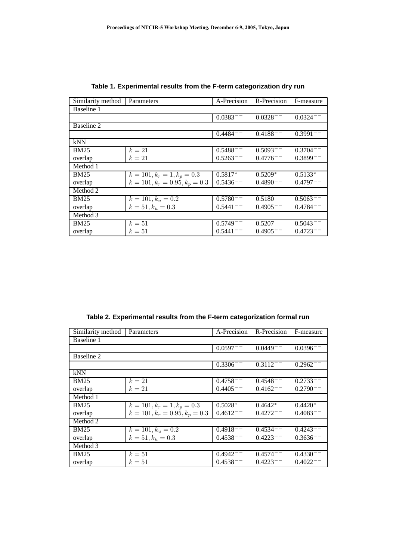| Similarity method | Parameters                       | A-Precision   | R-Precision   | F-measure                         |
|-------------------|----------------------------------|---------------|---------------|-----------------------------------|
| Baseline 1        |                                  |               |               |                                   |
|                   |                                  | $0.0383^{--}$ | $0.0328^{--}$ | $0.0324^{--}$                     |
| Baseline 2        |                                  |               |               |                                   |
|                   |                                  | $0.4484 =$    | $0.4188 - -$  | $\overline{0.3991}$ <sup>--</sup> |
| kNN               |                                  |               |               |                                   |
| $\overline{BM25}$ | $k=21$                           | $0.5488^{--}$ | $0.5093^{--}$ | $0.3704 =$                        |
| overlap           | $k=21$                           | $0.5263^{--}$ | $0.4776 =$    | $0.3899$ <sup>--</sup>            |
| Method 1          |                                  |               |               |                                   |
| <b>BM25</b>       | $k = 101, k_r = 1, k_p = 0.3$    | $0.5817*$     | $0.5209*$     | $0.5133*$                         |
| overlap           | $k = 101, k_r = 0.95, k_p = 0.3$ | $0.5436^{--}$ | $0.4890^{--}$ | $0.4797 =$                        |
| Method 2          |                                  |               |               |                                   |
| <b>BM25</b>       | $k = 101, k_u = 0.2$             | $0.5780^{--}$ | 0.5180        | $0.5063^{--}$                     |
| overlap           | $k = 51, k_u = 0.3$              | $0.5441^{--}$ | $0.4905^{--}$ | $0.4784 =$                        |
| Method 3          |                                  |               |               |                                   |
| <b>BM25</b>       | $k=51$                           | $0.5749^{--}$ | 0.5207        | $0.5043^{--}$                     |
| overlap           | $k=51$                           | 0.5441        | 0.4905        | 0.4723                            |

**Table 1. Experimental results from the F-term categorization dry run**

**Table 2. Experimental results from the F-term categorization formal run**

| Similarity method | Parameters                       | A-Precision   | R-Precision   | F-measure     |
|-------------------|----------------------------------|---------------|---------------|---------------|
| Baseline 1        |                                  |               |               |               |
|                   |                                  | $0.0597^{--}$ | $0.0449 =$    | $0.0396 =$    |
| Baseline 2        |                                  |               |               |               |
|                   |                                  | $0.3306^{--}$ | $0.3112^{--}$ | $0.2962^{-}$  |
| kNN               |                                  |               |               |               |
| <b>BM25</b>       | $k=21$                           | $0.4758^{--}$ | $0.4548^{--}$ | $0.2733^{--}$ |
| overlap           | $k=21$                           | $0.4405^{--}$ | $0.4162^{--}$ | $0.2790^{--}$ |
| Method 1          |                                  |               |               |               |
| <b>BM25</b>       | $k = 101, k_r = 1, k_p = 0.3$    | $0.5028*$     | $0.4642*$     | $0.4420*$     |
| overlap           | $k = 101, k_r = 0.95, k_p = 0.3$ | $0.4612^{--}$ | 0.4272        | $0.4083^{--}$ |
| Method 2          |                                  |               |               |               |
| <b>BM25</b>       | $k = 101, k_u = 0.2$             | $0.4918 -$    | $0.4534^{--}$ | $0.4243 -$    |
| overlap           | $k = 51, k_u = 0.3$              | $0.4538^{--}$ | $0.4223^{--}$ | $0.3636^{--}$ |
| Method 3          |                                  |               |               |               |
| <b>BM25</b>       | $k=51$                           | $0.4942^{--}$ | $0.4574^{--}$ | 0.4330        |
| overlap           | $k=51$                           | $0.4538^{--}$ | 0.4223        | 0.4022        |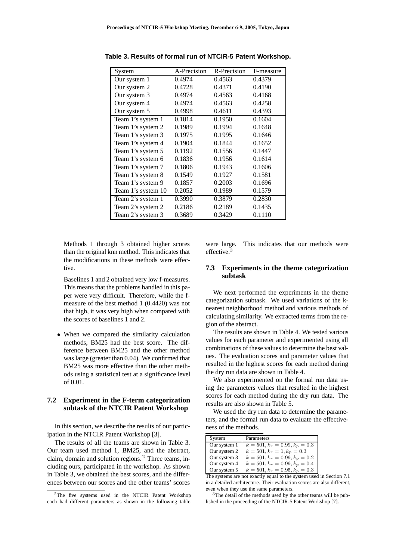| System             | A-Precision | R-Precision | F-measure |
|--------------------|-------------|-------------|-----------|
| Our system 1       | 0.4974      | 0.4563      | 0.4379    |
| Our system 2       | 0.4728      | 0.4371      | 0.4190    |
| Our system 3       | 0.4974      | 0.4563      | 0.4168    |
| Our system 4       | 0.4974      | 0.4563      | 0.4258    |
| Our system 5       | 0.4998      | 0.4611      | 0.4393    |
| Team 1's system 1  | 0.1814      | 0.1950      | 0.1604    |
| Team 1's system 2  | 0.1989      | 0.1994      | 0.1648    |
| Team 1's system 3  | 0.1975      | 0.1995      | 0.1646    |
| Team 1's system 4  | 0.1904      | 0.1844      | 0.1652    |
| Team 1's system 5  | 0.1192      | 0.1556      | 0.1447    |
| Team 1's system 6  | 0.1836      | 0.1956      | 0.1614    |
| Team 1's system 7  | 0.1806      | 0.1943      | 0.1606    |
| Team 1's system 8  | 0.1549      | 0.1927      | 0.1581    |
| Team 1's system 9  | 0.1857      | 0.2003      | 0.1696    |
| Team 1's system 10 | 0.2052      | 0.1989      | 0.1579    |
| Team 2's system 1  | 0.3990      | 0.3879      | 0.2830    |
| Team 2's system 2  | 0.2186      | 0.2189      | 0.1435    |
| Team 2's system 3  | 0.3689      | 0.3429      | 0.1110    |

**Table 3. Results of formal run of NTCIR-5 Patent Workshop.**

Methods 1 through 3 obtained higher scores than the original knn method. This indicates that the modifications in these methods were effective.

Baselines 1 and 2 obtained very low f-measures. This means that the problems handled in this paper were very difficult. Therefore, while the fmeasure of the best method 1 (0.4420) was not that high, it was very high when compared with the scores of baselines 1 and 2.

• When we compared the similarity calculation methods, BM25 had the best score. The difference between BM25 and the other method was large (greater than 0.04). We confirmed that BM25 was more effective than the other methods using a statistical test at a significance level of 0.01.

## **7.2 Experiment in the F-term categorization subtask of the NTCIR Patent Workshop**

In this section, we describe the results of our participation in the NTCIR Patent Workshop [3].

The results of all the teams are shown in Table 3. Our team used method 1, BM25, and the abstract, claim, domain and solution regions.<sup>2</sup> Three teams, including ours, participated in the workshop. As shown in Table 3, we obtained the best scores, and the differences between our scores and the other teams' scores

were large. This indicates that our methods were effective.<sup>3</sup>

#### **7.3 Experiments in the theme categorization subtask**

We next performed the experiments in the theme categorization subtask. We used variations of the knearest neighborhood method and various methods of calculating similarity. We extracted terms from the region of the abstract.

The results are shown in Table 4. We tested various values for each parameter and experimented using all combinations of these values to determine the best values. The evaluation scores and parameter values that resulted in the highest scores for each method during the dry run data are shown in Table 4.

We also experimented on the formal run data using the parameters values that resulted in the highest scores for each method during the dry run data. The results are also shown in Table 5.

We used the dry run data to determine the parameters, and the formal run data to evaluate the effectiveness of the methods.

| System                                              | Parameters                       |  |  |
|-----------------------------------------------------|----------------------------------|--|--|
| Our system 1                                        | $k = 501, k_r = 0.99, k_p = 0.3$ |  |  |
| Our system 2                                        | $k = 501, kr = 1, kp = 0.3$      |  |  |
| Our system 3                                        | $k = 501, kr = 0.99, kp = 0.2$   |  |  |
| Our system 4                                        | $k = 501, k_r = 0.99, k_p = 0.4$ |  |  |
| Our system 5                                        | $k = 501, kr = 0.95, kp = 0.3$   |  |  |
| he eveteme are not exectly equal to the evetem used |                                  |  |  |

The systems are not exactly equal to the system used in Section 7.1 in a detailed architecture. Their evaluation scores are also different, even when they use the same parameters.

<sup>3</sup>The detail of the methods used by the other teams will be published in the proceeding of the NTCIR-5 Patent Workshop [7].

<sup>&</sup>lt;sup>2</sup>The five systems used in the NTCIR Patent Workshop each had different parameters as shown in the following table.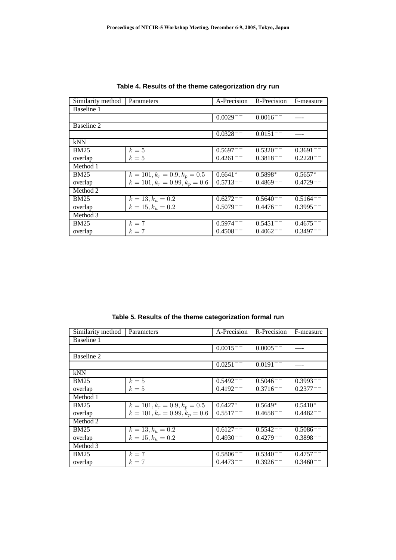| Similarity method | Parameters                       | A-Precision   | R-Precision   | F-measure     |
|-------------------|----------------------------------|---------------|---------------|---------------|
| Baseline 1        |                                  |               |               |               |
|                   |                                  | $0.0029^{--}$ | $0.0016^{--}$ |               |
| Baseline 2        |                                  |               |               |               |
|                   |                                  | $0.0328 - -$  | $0.0151^{--}$ |               |
| kNN               |                                  |               |               |               |
| <b>BM25</b>       | $k=5$                            | $0.5697^{--}$ | $0.5320 =$    | $0.3691 =$    |
| overlap           | $k=5$                            | $0.4261^{--}$ | $0.3818 -$    | 0.2220        |
| Method 1          |                                  |               |               |               |
| <b>BM25</b>       | $k = 101, k_r = 0.9, k_p = 0.5$  | $0.6641*$     | $0.5898*$     | $0.5657*$     |
| overlap           | $k = 101, k_r = 0.99, k_p = 0.6$ | $0.5713^{--}$ | $0.4869^{--}$ | $0.4729^{--}$ |
| Method 2          |                                  |               |               |               |
| <b>BM25</b>       | $k = 13, k_u = 0.2$              | $0.6272^{--}$ | $0.5640^{--}$ | $0.5164^{--}$ |
| overlap           | $k = 15, k_u = 0.2$              | $0.5079^{--}$ | $0.4476^{--}$ | $0.3995^{--}$ |
| Method 3          |                                  |               |               |               |
| <b>BM25</b>       | $k=7$                            | $0.5974^{--}$ | $0.5451^{--}$ | $0.4675^{--}$ |
| overlap           | $k=7$                            | $0.4508^{--}$ | $0.4062^-$    | $0.3497^{--}$ |

**Table 4. Results of the theme categorization dry run**

**Table 5. Results of the theme categorization formal run**

| Similarity method | Parameters                       | A-Precision   | R-Precision   | F-measure     |
|-------------------|----------------------------------|---------------|---------------|---------------|
| Baseline 1        |                                  |               |               |               |
|                   |                                  | $0.0015^{--}$ | $0.0005^{--}$ |               |
| Baseline 2        |                                  |               |               |               |
|                   |                                  | $0.0251^{--}$ | $0.0191^{--}$ |               |
| kNN               |                                  |               |               |               |
| <b>BM25</b>       | $k=5$                            | $0.5492^{--}$ | $0.5046^{--}$ | $0.3993^{--}$ |
| overlap           | $k=5$                            | $0.4192^{--}$ | $0.3716^{--}$ | $0.2377^{--}$ |
| Method 1          |                                  |               |               |               |
| <b>BM25</b>       | $k = 101, k_r = 0.9, k_p = 0.5$  | $0.6427*$     | $0.5649*$     | $0.5410*$     |
| overlap           | $k = 101, k_r = 0.99, k_p = 0.6$ | $0.5517^{--}$ | $0.4658^{--}$ | $0.4482^{--}$ |
| Method 2          |                                  |               |               |               |
| <b>BM25</b>       | $k = 13, k_u = 0.2$              | $0.6127^{--}$ | $0.5542^{--}$ | $0.5086 =$    |
| overlap           | $k = 15, k_u = 0.2$              | $0.4930^{--}$ | $0.4279^{--}$ | $0.3898 -$    |
| Method 3          |                                  |               |               |               |
| <b>BM25</b>       | $k=7$                            | $0.5806^{--}$ | $0.5340^{--}$ | $0.4757^{--}$ |
| overlap           | $k=7$                            | $0.4473^{--}$ | 0.3926        | 0.3460        |